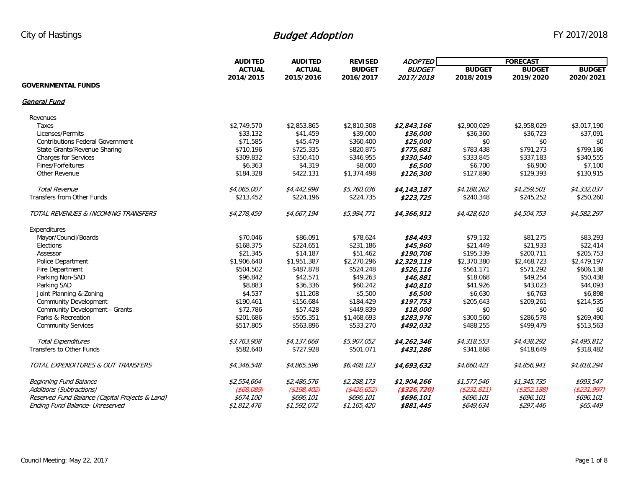|                                                 | <b>AUDITED</b> | <b>AUDITED</b><br><b>REVISED</b> | <b>ADOPTED</b>                          | <b>FORECAST</b>            |               |                   |               |
|-------------------------------------------------|----------------|----------------------------------|-----------------------------------------|----------------------------|---------------|-------------------|---------------|
|                                                 | <b>ACTUAL</b>  | <b>ACTUAL</b>                    | <b>BUDGET</b><br>2015/2016<br>2016/2017 | <b>BUDGET</b><br>2017/2018 | <b>BUDGET</b> | <b>BUDGET</b>     | <b>BUDGET</b> |
|                                                 | 2014/2015      |                                  |                                         |                            | 2018/2019     | 2019/2020         | 2020/2021     |
| <b>GOVERNMENTAL FUNDS</b>                       |                |                                  |                                         |                            |               |                   |               |
| <b>General Fund</b>                             |                |                                  |                                         |                            |               |                   |               |
| Revenues                                        |                |                                  |                                         |                            |               |                   |               |
| Taxes                                           | \$2,749,570    | \$2,853,865                      | \$2,810,308                             | \$2,843,166                | \$2,900,029   | \$2,958,029       | \$3,017,190   |
| Licenses/Permits                                | \$33,132       | \$41,459                         | \$39,000                                | \$36,000                   | \$36,360      | \$36,723          | \$37,091      |
| <b>Contributions Federal Government</b>         | \$71,585       | \$45,479                         | \$360,400                               | \$25,000                   | \$0           | \$0               | \$0           |
| State Grants/Revenue Sharing                    | \$710,196      | \$725,335                        | \$820,875                               | \$775,681                  | \$783,438     | \$791,273         | \$799,186     |
| Charges for Services                            | \$309,832      | \$350,410                        | \$346,955                               | \$330,540                  | \$333,845     | \$337,183         | \$340,555     |
| Fines/Forfeitures                               | \$6,363        | \$4,319                          | \$8,000                                 | \$6,500                    | \$6,700       | \$6,900           | \$7,100       |
| Other Revenue                                   | \$184,328      | \$422,131                        | \$1,374,498                             | \$126,300                  | \$127,890     | \$129,393         | \$130,915     |
| <b>Total Revenue</b>                            | \$4,065,007    | \$4,442,998                      | \$5,760,036                             | \$4,143,187                | \$4,188,262   | \$4,259,501       | \$4,332,037   |
| Transfers from Other Funds                      | \$213,452      | \$224,196                        | \$224,735                               | \$223,725                  | \$240,348     | \$245,252         | \$250,260     |
| TOTAL REVENUES & INCOMING TRANSFERS             | \$4,278,459    | \$4,667,194                      | \$5,984,771                             | \$4,366,912                | \$4,428,610   | \$4,504,753       | \$4,582,297   |
| Expenditures                                    |                |                                  |                                         |                            |               |                   |               |
| Mayor/Council/Boards                            | \$70,046       | \$86,091                         | \$78,624                                | \$84,493                   | \$79,132      | \$81,275          | \$83,293      |
| Elections                                       | \$168,375      | \$224,651                        | \$231,186                               | \$45,960                   | \$21,449      | \$21,933          | \$22,414      |
| Assessor                                        | \$21,345       | \$14,187                         | \$51,462                                | \$190,706                  | \$195,339     | \$200,711         | \$205,753     |
| <b>Police Department</b>                        | \$1,906,640    | \$1,951,387                      | \$2,270,296                             | \$2,329,119                | \$2,370,380   | \$2,468,723       | \$2,479,197   |
| Fire Department                                 | \$504,502      | \$487,878                        | \$524,248                               | \$526,116                  | \$561,171     | \$571,292         | \$606,138     |
| Parking Non-SAD                                 | \$96,842       | \$42,571                         | \$49,263                                | \$46,881                   | \$18,068      | \$49,254          | \$50,438      |
| Parking SAD                                     | \$8,883        | \$36,336                         | \$60,242                                | \$40,810                   | \$41,926      | \$43,023          | \$44,093      |
| Joint Planning & Zoning                         | \$4,537        | \$11,208                         | \$5,500                                 | \$6,500                    | \$6,630       | \$6,763           | \$6,898       |
| <b>Community Development</b>                    | \$190,461      | \$156,684                        | \$184,429                               | \$197,753                  | \$205,643     | \$209,261         | \$214,535     |
| Community Development - Grants                  | \$72,786       | \$57,428                         | \$449,839                               | \$18,000                   | \$0           | \$0               | \$0           |
| Parks & Recreation                              | \$201,686      | \$505,351                        | \$1,468,693                             | \$283,976                  | \$300,560     | \$286,578         | \$269,490     |
| <b>Community Services</b>                       | \$517,805      | \$563,896                        | \$533,270                               | \$492,032                  | \$488,255     | \$499,479         | \$513,563     |
| <b>Total Expenditures</b>                       | \$3,763,908    | \$4,137,668                      | \$5,907,052                             | \$4,262,346                | \$4,318,553   | \$4,438,292       | \$4,495,812   |
| <b>Transfers to Other Funds</b>                 | \$582,640      | \$727,928                        | \$501,071                               | \$431,286                  | \$341,868     | \$418,649         | \$318,482     |
| TOTAL EXPENDITURES & OUT TRANSFERS              | \$4,346,548    | \$4,865,596                      | \$6,408,123                             | \$4,693,632                | \$4,660,421   | \$4,856,941       | \$4,818,294   |
| <b>Beginning Fund Balance</b>                   | \$2,554,664    | \$2,486,576                      | \$2,288,173                             | \$1,904,266                | \$1,577,546   | \$1,345,735       | \$993,547     |
| Additions (Subtractions)                        | ( \$68,089]    | (\$198,402)                      | $(*426,652)$                            | ( \$326, 720)              | ( \$231, 811) | $($ \$352,188 $)$ | (\$231,997)   |
| Reserved Fund Balance (Capital Projects & Land) | \$674,100      | \$696,101                        | \$696,101                               | \$696,101                  | \$696,101     | \$696,101         | \$696,101     |
| Ending Fund Balance- Unreserved                 | \$1,812,476    | \$1,592,072                      | \$1,165,420                             | \$881,445                  | \$649,634     | \$297,446         | \$65,449      |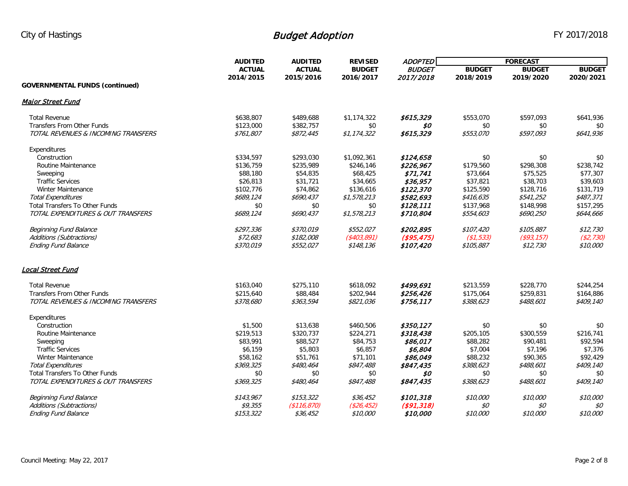|                                       | <b>AUDITED</b> | <b>AUDITED</b> |               | <b>ADOPTED</b><br><b>REVISED</b><br><b>BUDGET</b><br><b>BUDGET</b> | <b>FORECAST</b> |               |               |
|---------------------------------------|----------------|----------------|---------------|--------------------------------------------------------------------|-----------------|---------------|---------------|
|                                       | <b>ACTUAL</b>  | <b>ACTUAL</b>  |               |                                                                    | <b>BUDGET</b>   | <b>BUDGET</b> | <b>BUDGET</b> |
|                                       | 2014/2015      | 2015/2016      | 2016/2017     | 2017/2018                                                          | 2018/2019       | 2019/2020     | 2020/2021     |
| <b>GOVERNMENTAL FUNDS (continued)</b> |                |                |               |                                                                    |                 |               |               |
| <b>Malor Street Fund</b>              |                |                |               |                                                                    |                 |               |               |
| <b>Total Revenue</b>                  | \$638,807      | \$489,688      | \$1,174,322   | \$615,329                                                          | \$553,070       | \$597,093     | \$641,936     |
| Transfers From Other Funds            | \$123,000      | \$382,757      | \$0           | \$0                                                                | \$0             | \$0           | \$0           |
| TOTAL REVENUES & INCOMING TRANSFERS   | \$761,807      | \$872,445      | \$1, 174, 322 | \$615,329                                                          | \$553,070       | \$597,093     | \$641,936     |
| Expenditures                          |                |                |               |                                                                    |                 |               |               |
| Construction                          | \$334,597      | \$293,030      | \$1,092,361   | \$124,658                                                          | \$0             | \$0           | \$0           |
| Routine Maintenance                   | \$136,759      | \$235,989      | \$246,146     | \$226,967                                                          | \$179,560       | \$298,308     | \$238,742     |
| Sweeping                              | \$88,180       | \$54,835       | \$68,425      | \$71,741                                                           | \$73,664        | \$75,525      | \$77,307      |
| <b>Traffic Services</b>               | \$26,813       | \$31,721       | \$34,665      | \$36,957                                                           | \$37,821        | \$38,703      | \$39,603      |
| Winter Maintenance                    | \$102,776      | \$74,862       | \$136,616     | \$122,370                                                          | \$125,590       | \$128,716     | \$131,719     |
| <b>Total Expenditures</b>             | \$689,124      | \$690,437      | \$1,578,213   | \$582,693                                                          | \$416,635       | \$541,252     | \$487,371     |
| <b>Total Transfers To Other Funds</b> | \$0            | \$0            | \$0           | \$128,111                                                          | \$137,968       | \$148,998     | \$157,295     |
| TOTAL EXPENDITURES & OUT TRANSFERS    | \$689,124      | \$690,437      | \$1,578,213   | \$710,804                                                          | \$554,603       | \$690,250     | \$644,666     |
| <b>Beginning Fund Balance</b>         | \$297,336      | \$370,019      | \$552,027     | \$202,895                                                          | \$107,420       | \$105,887     | \$12,730      |
| Additions (Subtractions)              | \$72,683       | \$182,008      | ( \$403, 891) | (\$95,475)                                                         | (\$1,533)       | ( \$93, 157)  | ( \$2,730)    |
| <b>Ending Fund Balance</b>            | \$370,019      | \$552,027      | \$148,136     | \$107,420                                                          | \$105,887       | \$12,730      | \$10,000      |
| Local Street Fund                     |                |                |               |                                                                    |                 |               |               |
| <b>Total Revenue</b>                  | \$163,040      | \$275,110      | \$618,092     | \$499,691                                                          | \$213,559       | \$228,770     | \$244,254     |
| <b>Transfers From Other Funds</b>     | \$215,640      | \$88,484       | \$202,944     | \$256,426                                                          | \$175,064       | \$259,831     | \$164,886     |
| TOTAL REVENUES & INCOMING TRANSFERS   | \$378,680      | \$363,594      | \$821,036     | \$756,117                                                          | \$388,623       | \$488,601     | \$409,140     |
| Expenditures                          |                |                |               |                                                                    |                 |               |               |
| Construction                          | \$1,500        | \$13,638       | \$460,506     | \$350,127                                                          | \$0             | \$0           | \$0           |
| Routine Maintenance                   | \$219,513      | \$320,737      | \$224,271     | \$318,438                                                          | \$205,105       | \$300,559     | \$216,741     |
| Sweeping                              | \$83,991       | \$88,527       | \$84,753      | \$86,017                                                           | \$88,282        | \$90,481      | \$92,594      |
| <b>Traffic Services</b>               | \$6,159        | \$5,803        | \$6,857       | \$6,804                                                            | \$7,004         | \$7,196       | \$7,376       |
| Winter Maintenance                    | \$58,162       | \$51,761       | \$71,101      | \$86,049                                                           | \$88,232        | \$90,365      | \$92,429      |
| <b>Total Expenditures</b>             | \$369,325      | \$480,464      | \$847,488     | \$847,435                                                          | \$388,623       | \$488,601     | \$409,140     |
| <b>Total Transfers To Other Funds</b> | \$0            | \$0            | \$0           | \$0                                                                | \$0             | \$0           | \$0           |
| TOTAL EXPENDITURES & OUT TRANSFERS    | \$369,325      | \$480,464      | \$847,488     | \$847,435                                                          | \$388,623       | \$488,601     | \$409,140     |
| <b>Beginning Fund Balance</b>         | \$143,967      | \$153,322      | \$36,452      | \$101,318                                                          | \$10,000        | \$10,000      | \$10,000      |
| Additions (Subtractions)              | \$9,355        | (\$116, 870)   | (\$26, 452)   | (\$91,318)                                                         | \$0             | \$0           | \$0           |
| <b>Ending Fund Balance</b>            | \$153,322      | \$36,452       | \$10,000      | \$10,000                                                           | \$10,000        | \$10,000      | \$10,000      |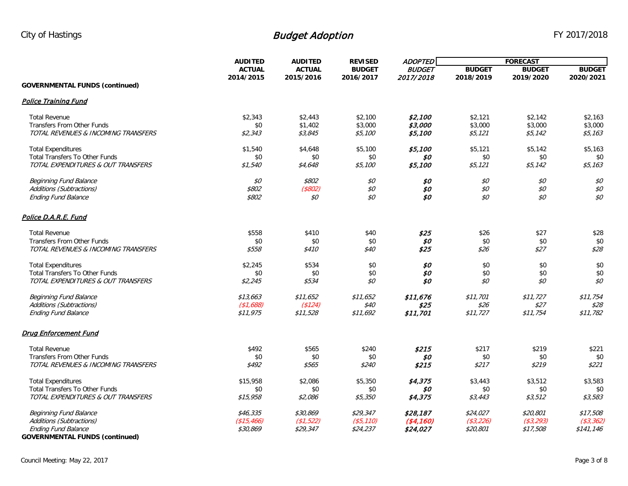|                                                                     | <b>AUDITED</b>             | <b>AUDITED</b>             | <b>REVISED</b>             | <b>ADOPTED</b>             | <b>FORECAST</b>            |                            |                            |
|---------------------------------------------------------------------|----------------------------|----------------------------|----------------------------|----------------------------|----------------------------|----------------------------|----------------------------|
|                                                                     | <b>ACTUAL</b><br>2014/2015 | <b>ACTUAL</b><br>2015/2016 | <b>BUDGET</b><br>2016/2017 | <b>BUDGET</b><br>2017/2018 | <b>BUDGET</b><br>2018/2019 | <b>BUDGET</b><br>2019/2020 | <b>BUDGET</b><br>2020/2021 |
| <b>GOVERNMENTAL FUNDS (continued)</b>                               |                            |                            |                            |                            |                            |                            |                            |
| <b>Police Training Fund</b>                                         |                            |                            |                            |                            |                            |                            |                            |
| <b>Total Revenue</b>                                                | \$2,343                    | \$2,443                    | \$2,100                    | \$2,100                    | \$2,121                    | \$2,142                    | \$2,163                    |
| Transfers From Other Funds                                          | \$0                        | \$1,402                    | \$3,000                    | \$3,000                    | \$3,000                    | \$3,000                    | \$3,000                    |
| TOTAL REVENUES & INCOMING TRANSFERS                                 | \$2,343                    | \$3,845                    | \$5,100                    | \$5,100                    | \$5,121                    | \$5,142                    | \$5,163                    |
| <b>Total Expenditures</b>                                           | \$1,540                    | \$4,648                    | \$5,100                    | \$5,100                    | \$5,121                    | \$5,142                    | \$5,163                    |
| <b>Total Transfers To Other Funds</b>                               | \$0                        | \$0                        | \$0                        | \$0                        | \$0                        | \$0                        | \$0                        |
| TOTAL EXPENDITURES & OUT TRANSFERS                                  | \$1,540                    | \$4,648                    | \$5,100                    | \$5,100                    | \$5,121                    | \$5,142                    | \$5,163                    |
| <b>Beginning Fund Balance</b>                                       | \$0                        | \$802                      | \$0                        | \$0                        | \$0                        | \$0                        | \$0                        |
| Additions (Subtractions)                                            | \$802                      | $($ \$802)                 | $\mathcal{S}O$             | \$0                        | $\mathcal{S}O$             | \$0\$                      | $\mathcal{S}O$             |
| <b>Ending Fund Balance</b>                                          | \$802                      | \$0                        | \$0                        | \$0                        | \$0                        | \$0                        | $$ \mathcal{O}$            |
| Police D.A.R.E. Fund                                                |                            |                            |                            |                            |                            |                            |                            |
| <b>Total Revenue</b>                                                | \$558                      | \$410                      | \$40                       | \$25                       | \$26                       | \$27                       | \$28                       |
| <b>Transfers From Other Funds</b>                                   | \$0                        | \$0                        | \$0                        | \$0                        | \$0                        | \$0                        | \$0                        |
| TOTAL REVENUES & INCOMING TRANSFERS                                 | \$558                      | \$410                      | \$40                       | \$25                       | \$26                       | \$27                       | \$28                       |
| <b>Total Expenditures</b>                                           | \$2,245                    | \$534                      | \$0                        | \$0\$                      | \$0                        | \$0                        | \$0                        |
| <b>Total Transfers To Other Funds</b>                               | \$0                        | \$0                        | \$0                        | \$0                        | \$0                        | \$0                        | \$0                        |
| TOTAL EXPENDITURES & OUT TRANSFERS                                  | \$2,245                    | \$534                      | \$0                        | \$0                        | \$0                        | \$0                        | \$0                        |
| <b>Beginning Fund Balance</b>                                       | \$13,663                   | \$11,652                   | \$11,652                   | \$11,676                   | \$11,701                   | \$11, 727                  | \$11,754                   |
| Additions (Subtractions)                                            | (\$1,688)                  | (\$124)                    | \$40                       | \$25                       | \$26                       | \$27                       | \$28                       |
| <b>Ending Fund Balance</b>                                          | \$11,975                   | \$11,528                   | \$11,692                   | \$11,701                   | \$11,727                   | \$11,754                   | \$11,782                   |
| <b>Drua Enforcement Fund</b>                                        |                            |                            |                            |                            |                            |                            |                            |
| <b>Total Revenue</b>                                                | \$492                      | \$565                      | \$240                      | \$215                      | \$217                      | \$219                      | \$221                      |
| <b>Transfers From Other Funds</b>                                   | \$0                        | \$0                        | \$0                        | \$0                        | \$0                        | \$0                        | \$0                        |
| TOTAL REVENUES & INCOMING TRANSFERS                                 | \$492                      | \$565                      | \$240                      | \$215                      | \$217                      | \$219                      | \$221                      |
| <b>Total Expenditures</b>                                           | \$15,958                   | \$2,086                    | \$5,350                    | \$4,375                    | \$3,443                    | \$3,512                    | \$3,583                    |
| <b>Total Transfers To Other Funds</b>                               | \$0                        | \$0                        | \$0                        | \$0                        | \$0                        | \$0                        | \$0                        |
| TOTAL EXPENDITURES & OUT TRANSFERS                                  | \$15,958                   | \$2,086                    | \$5,350                    | \$4,375                    | \$3,443                    | \$3,512                    | \$3,583                    |
| Beginning Fund Balance                                              | \$46,335                   | \$30,869                   | \$29,347                   | \$28,187                   | \$24,027                   | \$20,801                   | \$17,508                   |
| Additions (Subtractions)                                            | (\$15,466)                 | (\$1,522)                  | ( \$5, 110)                | ( \$4,160)                 | ( \$3, 226)                | ( \$3, 293)                | ( \$3, 362)                |
| <b>Ending Fund Balance</b><br><b>GOVERNMENTAL FUNDS (continued)</b> | \$30,869                   | \$29,347                   | \$24,237                   | \$24,027                   | \$20,801                   | \$17,508                   | \$141,146                  |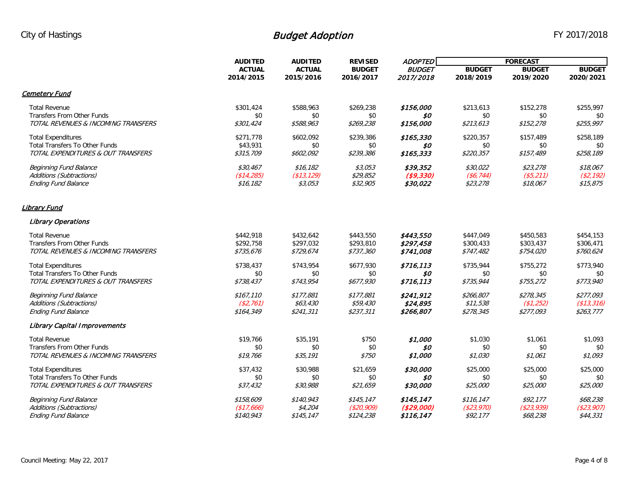|                                       | <b>AUDITED</b> | <b>AUDITED</b> | <b>REVISED</b> | <b>ADOPTED</b><br><b>BUDGET</b><br>2017/2018 | <b>FORECAST</b> |               |               |
|---------------------------------------|----------------|----------------|----------------|----------------------------------------------|-----------------|---------------|---------------|
|                                       | <b>ACTUAL</b>  | <b>ACTUAL</b>  | <b>BUDGET</b>  |                                              | <b>BUDGET</b>   | <b>BUDGET</b> | <b>BUDGET</b> |
|                                       | 2014/2015      | 2015/2016      | 2016/2017      |                                              | 2018/2019       | 2019/2020     | 2020/2021     |
| <u>Cemetery Fund</u>                  |                |                |                |                                              |                 |               |               |
| <b>Total Revenue</b>                  | \$301,424      | \$588,963      | \$269,238      | \$156,000                                    | \$213,613       | \$152,278     | \$255,997     |
| <b>Transfers From Other Funds</b>     | \$0            | \$0            | \$0            | S0                                           | \$0             | \$0           | \$0           |
| TOTAL REVENUES & INCOMING TRANSFERS   | \$301,424      | \$588,963      | \$269,238      | \$156,000                                    | \$213,613       | \$152,278     | \$255,997     |
| <b>Total Expenditures</b>             | \$271,778      | \$602,092      | \$239,386      | \$165,330                                    | \$220,357       | \$157,489     | \$258,189     |
| <b>Total Transfers To Other Funds</b> | \$43,931       | \$0            | \$0            | \$0                                          | \$0             | \$0           | \$0           |
| TOTAL EXPENDITURES & OUT TRANSFERS    | \$315,709      | \$602,092      | \$239,386      | \$165,333                                    | \$220,357       | \$157,489     | \$258,189     |
| <b>Beginning Fund Balance</b>         | \$30,467       | \$16,182       | \$3,053        | \$39,352                                     | \$30,022        | \$23,278      | \$18,067      |
| Additions (Subtractions)              | (\$14,285)     | (\$13,129)     | \$29,852       | ( \$9,330)                                   | (\$6, 744)      | $($ \$5,211)  | (S2, 192)     |
| <b>Ending Fund Balance</b>            | \$16,182       | \$3,053        | \$32,905       | \$30,022                                     | \$23,278        | \$18,067      | \$15,875      |
| <u>Library Fund</u>                   |                |                |                |                                              |                 |               |               |
| <b>Library Operations</b>             |                |                |                |                                              |                 |               |               |
| <b>Total Revenue</b>                  | \$442,918      | \$432,642      | \$443,550      | \$443,550                                    | \$447,049       | \$450,583     | \$454,153     |
| <b>Transfers From Other Funds</b>     | \$292,758      | \$297,032      | \$293,810      | \$297,458                                    | \$300,433       | \$303,437     | \$306,471     |
| TOTAL REVENUES & INCOMING TRANSFERS   | \$735,676      | \$729,674      | \$737,360      | \$741,008                                    | \$747,482       | \$754,020     | \$760,624     |
| <b>Total Expenditures</b>             | \$738,437      | \$743,954      | \$677,930      | \$716.113                                    | \$735,944       | \$755,272     | \$773,940     |
| <b>Total Transfers To Other Funds</b> | \$0            | \$0            | \$0            | \$0                                          | \$0             | \$0           | \$0           |
| TOTAL EXPENDITURES & OUT TRANSFERS    | \$738,437      | \$743,954      | \$677,930      | \$716,113                                    | \$735,944       | \$755,272     | \$773,940     |
| <b>Beginning Fund Balance</b>         | \$167,110      | \$177,881      | \$177,881      | \$241,912                                    | \$266,807       | \$278,345     | \$277,093     |
| Additions (Subtractions)              | (\$2,761)      | \$63,430       | \$59,430       | \$24,895                                     | \$11,538        | (\$1,252)     | (\$13,316)    |
| <b>Ending Fund Balance</b>            | \$164,349      | \$241,311      | \$237,311      | \$266,807                                    | \$278,345       | \$277,093     | \$263,777     |
| <b>Library Capital Improvements</b>   |                |                |                |                                              |                 |               |               |
| <b>Total Revenue</b>                  | \$19,766       | \$35,191       | \$750          | \$1,000                                      | \$1,030         | \$1,061       | \$1,093       |
| <b>Transfers From Other Funds</b>     | \$0            | \$0            | \$0            | \$0                                          | \$0             | \$0           | \$0           |
| TOTAL REVENUES & INCOMING TRANSFERS   | \$19,766       | \$35,191       | <i>\$750</i>   | \$1,000                                      | \$1,030         | \$1,061       | \$1,093       |
| <b>Total Expenditures</b>             | \$37,432       | \$30,988       | \$21,659       | \$30,000                                     | \$25,000        | \$25,000      | \$25,000      |
| <b>Total Transfers To Other Funds</b> | \$0            | \$0            | \$0            | 50                                           | \$0             | \$0           | \$0           |
| TOTAL EXPENDITURES & OUT TRANSFERS    | \$37,432       | \$30,988       | \$21,659       | \$30,000                                     | \$25,000        | \$25,000      | \$25,000      |
| <b>Beginning Fund Balance</b>         | \$158,609      | \$140,943      | \$145, 147     | \$145,147                                    | \$116.147       | \$92,177      | \$68,238      |
| Additions (Subtractions)              | (\$17,666)     | \$4,204        | (S20, 909)     | (\$29,000)                                   | (\$23,970)      | (\$23,939)    | (\$23,907)    |
| <b>Ending Fund Balance</b>            | \$140,943      | \$145, 147     | \$124,238      | \$116,147                                    | \$92,177        | \$68,238      | \$44,331      |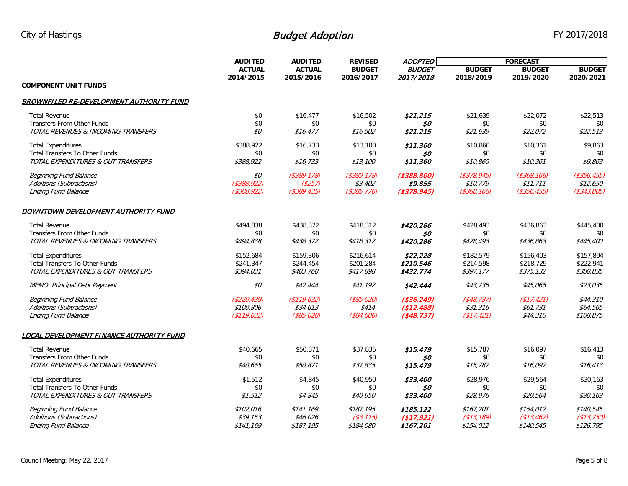|                                                 | <b>AUDITED</b>   | <b>AUDITED</b><br><b>ACTUAL</b><br>2015/2016 | <b>REVISED</b><br><b>BUDGET</b><br>2016/2017 | <b>ADOPTED</b><br><b>BUDGET</b> | <b>FORECAST</b> |                |                |
|-------------------------------------------------|------------------|----------------------------------------------|----------------------------------------------|---------------------------------|-----------------|----------------|----------------|
|                                                 | <b>ACTUAL</b>    |                                              |                                              |                                 | <b>BUDGET</b>   | <b>BUDGET</b>  | <b>BUDGET</b>  |
|                                                 | 2014/2015        |                                              |                                              | 2017/2018                       | 2018/2019       | 2019/2020      | 2020/2021      |
| <b>COMPONENT UNIT FUNDS</b>                     |                  |                                              |                                              |                                 |                 |                |                |
| <b>BROWNFILED RE-DEVELOPMENT AUTHORITY FUND</b> |                  |                                              |                                              |                                 |                 |                |                |
| <b>Total Revenue</b>                            | \$0              | \$16,477                                     | \$16,502                                     | \$21,215                        | \$21,639        | \$22,072       | \$22,513       |
| Transfers From Other Funds                      | \$0              | \$0                                          | \$0                                          | \$0                             | \$0             | \$0            | \$0            |
| TOTAL REVENUES & INCOMING TRANSFERS             | \$0              | \$16,477                                     | \$16,502                                     | \$21,215                        | \$21,639        | \$22,072       | \$22,513       |
| <b>Total Expenditures</b>                       | \$388,922        | \$16,733                                     | \$13,100                                     | \$11,360                        | \$10,860        | \$10,361       | \$9,863        |
| <b>Total Transfers To Other Funds</b>           | \$0              | \$0                                          | \$0                                          | \$0                             | \$0             | \$0            | \$0            |
| TOTAL EXPENDITURES & OUT TRANSFERS              | \$388,922        | \$16,733                                     | \$13,100                                     | \$11,360                        | \$10,860        | \$10,361       | \$9,863        |
| <b>Beginning Fund Balance</b>                   | \$0              | $($ \$389,178 $)$                            | $($ \$389,178 $)$                            | ( \$388, 800)                   | $($ \$378,945)  | $($ \$368,166) | $($ \$356,455) |
| Additions (Subtractions)                        | $($ \$388,922)   | (\$257)                                      | \$3,402                                      | \$9,855                         | \$10,779        | \$11,711       | \$12,650       |
| <b>Ending Fund Balance</b>                      | $($ \$388,922)   | ( \$389, 435)                                | $($ \$385,776 $)$                            | $($ \$378,945)                  | (\$368, 166)    | (\$356, 455)   | ( \$343, 805)  |
| DOWNTOWN DEVELOPMENT AUTHORITY FUND             |                  |                                              |                                              |                                 |                 |                |                |
| <b>Total Revenue</b>                            | \$494,838        | \$438,372                                    | \$418,312                                    | \$420,286                       | \$428,493       | \$436,863      | \$445,400      |
| Transfers From Other Funds                      | \$0              | \$0                                          | \$0                                          | \$0                             | \$0             | \$0            | \$0            |
| TOTAL REVENUES & INCOMING TRANSFERS             | \$494,838        | \$438,372                                    | \$418,312                                    | \$420,286                       | \$428,493       | \$436,863      | \$445,400      |
| <b>Total Expenditures</b>                       | \$152,684        | \$159,306                                    | \$216,614                                    | \$22,228                        | \$182,579       | \$156,403      | \$157,894      |
| <b>Total Transfers To Other Funds</b>           | \$241,347        | \$244,454                                    | \$201,284                                    | \$210,546                       | \$214,598       | \$218,729      | \$222,941      |
| TOTAL EXPENDITURES & OUT TRANSFERS              | \$394,031        | \$403,760                                    | \$417,898                                    | \$432,774                       | \$397,177       | \$375,132      | \$380,835      |
| MEMO: Principal Debt Payment                    | \$0              | \$42,444                                     | \$41,192                                     | \$42,444                        | \$43,735        | \$45,066       | \$23,035       |
| <b>Beginning Fund Balance</b>                   | ( \$220, 439)    | (\$119,632)                                  | $($ \$85,020)                                | ( \$36, 249)                    | ( \$48, 737)    | (\$17,421)     | \$44,310       |
| Additions (Subtractions)                        | \$100,806        | \$34,613                                     | \$414                                        | (\$12,488)                      | \$31,316        | \$61,731       | \$64,565       |
| <b>Ending Fund Balance</b>                      | ( \$119,632)     | $($ \$85,020)                                | ( \$84, 606)                                 | ( \$48, 737)                    | (\$17,421)      | \$44,310       | \$108,875      |
| LOCAL DEVELOPMENT FINANCE AUTHORITY FUND        |                  |                                              |                                              |                                 |                 |                |                |
| <b>Total Revenue</b>                            | \$40,665         | \$50,871                                     | \$37,835                                     | \$15,479                        | \$15,787        | \$16,097       | \$16,413       |
| Transfers From Other Funds                      | \$0              | \$0                                          | \$0                                          | \$0                             | \$0             | \$0            | \$0            |
| TOTAL REVENUES & INCOMING TRANSFERS             | \$40,665         | \$50,871                                     | \$37,835                                     | \$15,479                        | \$15,787        | \$16,097       | \$16, 413      |
| <b>Total Expenditures</b>                       | \$1,512          | \$4,845                                      | \$40,950                                     | \$33,400                        | \$28,976        | \$29,564       | \$30,163       |
| <b>Total Transfers To Other Funds</b>           | \$0              | \$0                                          | \$0                                          | \$0                             | \$0             | \$0            | \$0            |
| TOTAL EXPENDITURES & OUT TRANSFERS              | \$1,512          | \$4,845                                      | \$40,950                                     | \$33,400                        | \$28,976        | \$29,564       | \$30,163       |
| <b>Beginning Fund Balance</b>                   | <i>\$102,016</i> | \$141,169                                    | \$187,195                                    | \$185,122                       | \$167,201       | \$154,012      | \$140,545      |
| Additions (Subtractions)                        | \$39,153         | \$46,026                                     | ( \$3, 115)                                  | (\$17,921)                      | (\$13,189)      | (\$13,467)     | (\$13,750)     |
| <b>Ending Fund Balance</b>                      | \$141,169        | \$187.195                                    | \$184,080                                    | \$167,201                       | \$154,012       | \$140,545      | \$126,795      |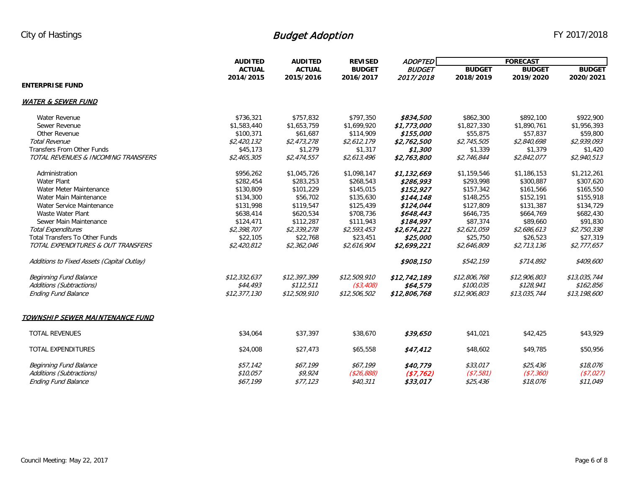| <b>AUDITED</b>                             |               | <b>AUDITED</b><br><b>REVISED</b> | <b>ADOPTED</b>             | <b>FORECAST</b>            |               |               |               |
|--------------------------------------------|---------------|----------------------------------|----------------------------|----------------------------|---------------|---------------|---------------|
|                                            | <b>ACTUAL</b> | <b>ACTUAL</b><br>2015/2016       | <b>BUDGET</b><br>2016/2017 | <b>BUDGET</b><br>2017/2018 | <b>BUDGET</b> | <b>BUDGET</b> | <b>BUDGET</b> |
|                                            | 2014/2015     |                                  |                            |                            | 2018/2019     | 2019/2020     | 2020/2021     |
| <b>ENTERPRISE FUND</b>                     |               |                                  |                            |                            |               |               |               |
| <b>WATER &amp; SEWER FUND</b>              |               |                                  |                            |                            |               |               |               |
| Water Revenue                              | \$736,321     | \$757,832                        | \$797,350                  | \$834,500                  | \$862,300     | \$892,100     | \$922,900     |
| Sewer Revenue                              | \$1,583,440   | \$1,653,759                      | \$1,699,920                | \$1,773,000                | \$1,827,330   | \$1,890,761   | \$1,956,393   |
| Other Revenue                              | \$100.371     | \$61,687                         | \$114,909                  | \$155,000                  | \$55,875      | \$57.837      | \$59,800      |
| <b>Total Revenue</b>                       | \$2,420,132   | \$2,473,278                      | \$2,612,179                | \$2,762,500                | \$2,745,505   | \$2,840,698   | \$2,939,093   |
| <b>Transfers From Other Funds</b>          | \$45,173      | \$1,279                          | \$1,317                    | \$1,300                    | \$1,339       | \$1,379       | \$1,420       |
| TOTAL REVENUES & INCOMING TRANSFERS        | \$2,465,305   | \$2,474,557                      | \$2,613,496                | \$2,763,800                | \$2,746,844   | \$2,842,077   | \$2,940,513   |
| Administration                             | \$956,262     | \$1,045,726                      | \$1,098,147                | \$1,132,669                | \$1,159,546   | \$1,186,153   | \$1,212,261   |
| <b>Water Plant</b>                         | \$282,454     | \$283,253                        | \$268,543                  | \$286,993                  | \$293,998     | \$300,887     | \$307,620     |
| Water Meter Maintenance                    | \$130,809     | \$101,229                        | \$145,015                  | \$152,927                  | \$157,342     | \$161,566     | \$165,550     |
| Water Main Maintenance                     | \$134,300     | \$56,702                         | \$135,630                  | \$144,148                  | \$148,255     | \$152,191     | \$155,918     |
| Water Service Maintenance                  | \$131,998     | \$119,547                        | \$125,439                  | \$124,044                  | \$127,809     | \$131,387     | \$134,729     |
| Waste Water Plant                          | \$638,414     | \$620,534                        | \$708,736                  | \$648,443                  | \$646,735     | \$664,769     | \$682,430     |
| Sewer Main Maintenance                     | \$124,471     | \$112,287                        | \$111,943                  | \$184,997                  | \$87,374      | \$89,660      | \$91,830      |
| <b>Total Expenditures</b>                  | \$2,398,707   | \$2,339,278                      | \$2,593,453                | \$2,674,221                | \$2,621,059   | \$2,686,613   | \$2,750,338   |
| <b>Total Transfers To Other Funds</b>      | \$22,105      | \$22,768                         | \$23,451                   | \$25,000                   | \$25,750      | \$26,523      | \$27,319      |
| TOTAL EXPENDITURES & OUT TRANSFERS         | \$2,420,812   | \$2,362,046                      | \$2,616,904                | \$2,699,221                | \$2,646,809   | \$2,713,136   | \$2,777,657   |
| Additions to Fixed Assets (Capital Outlay) |               |                                  |                            | \$908,150                  | \$542,159     | \$714,892     | \$409,600     |
| Beginning Fund Balance                     | \$12,332,637  | \$12,397,399                     | \$12,509,910               | \$12,742,189               | \$12,806,768  | \$12,906,803  | \$13,035,744  |
| Additions (Subtractions)                   | \$44,493      | \$112,511                        | ( \$3,408)                 | \$64,579                   | \$100,035     | \$128,941     | \$162,856     |
| <b>Ending Fund Balance</b>                 | \$12,377,130  | \$12,509,910                     | \$12,506,502               | \$12,806,768               | \$12,906,803  | \$13,035,744  | \$13,198,600  |
| TOWNSHIP SEWER MAINTENANCE FUND            |               |                                  |                            |                            |               |               |               |
| <b>TOTAL REVENUES</b>                      | \$34,064      | \$37,397                         | \$38,670                   | \$39,650                   | \$41,021      | \$42,425      | \$43,929      |
| <b>TOTAL EXPENDITURES</b>                  | \$24,008      | \$27,473                         | \$65,558                   | \$47,412                   | \$48,602      | \$49,785      | \$50,956      |
| <b>Beginning Fund Balance</b>              | \$57,142      | \$67,199                         | \$67,199                   | \$40,779                   | \$33,017      | \$25,436      | \$18,076      |
| Additions (Subtractions)                   | \$10,057      | \$9,924                          | ( \$26, 888)               | (\$7,762)                  | ( \$7,581)    | (\$7,360)     | (\$7,027)     |
| <b>Ending Fund Balance</b>                 | \$67,199      | \$77,123                         | \$40,311                   | \$33,017                   | \$25,436      | \$18,076      | \$11,049      |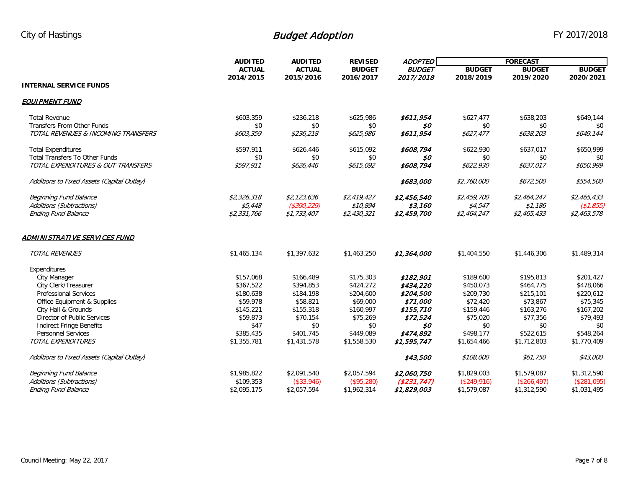|                                            | <b>AUDITED</b><br><b>AUDITED</b> |               | <b>REVISED</b> | <b>ADOPTED</b> | <b>FORECAST</b> |               |               |
|--------------------------------------------|----------------------------------|---------------|----------------|----------------|-----------------|---------------|---------------|
|                                            | <b>ACTUAL</b>                    | <b>ACTUAL</b> | <b>BUDGET</b>  | <b>BUDGET</b>  | <b>BUDGET</b>   | <b>BUDGET</b> | <b>BUDGET</b> |
|                                            | 2014/2015                        | 2015/2016     | 2016/2017      | 2017/2018      | 2018/2019       | 2019/2020     | 2020/2021     |
| <b>INTERNAL SERVICE FUNDS</b>              |                                  |               |                |                |                 |               |               |
| <b>EQUIPMENT FUND</b>                      |                                  |               |                |                |                 |               |               |
| <b>Total Revenue</b>                       | \$603,359                        | \$236,218     | \$625,986      | \$611,954      | \$627,477       | \$638,203     | \$649,144     |
| <b>Transfers From Other Funds</b>          | \$0                              | \$0           | \$0            | \$0            | \$0             | \$0           | \$0           |
| TOTAL REVENUES & INCOMING TRANSFERS        | \$603,359                        | \$236,218     | \$625,986      | \$611,954      | \$627,477       | \$638,203     | \$649,144     |
| <b>Total Expenditures</b>                  | \$597,911                        | \$626,446     | \$615,092      | \$608,794      | \$622,930       | \$637,017     | \$650,999     |
| <b>Total Transfers To Other Funds</b>      | \$0                              | \$0           | \$0            | \$0            | \$0             | \$0           | \$0           |
| TOTAL EXPENDITURES & OUT TRANSFERS         | \$597,911                        | \$626,446     | \$615,092      | \$608,794      | \$622,930       | \$637,017     | \$650,999     |
| Additions to Fixed Assets (Capital Outlay) |                                  |               |                | \$683,000      | \$2,760,000     | \$672,500     | \$554,500     |
| <b>Beginning Fund Balance</b>              | \$2,326,318                      | \$2,123,636   | \$2,419,427    | \$2,456,540    | \$2,459,700     | \$2,464,247   | \$2,465,433   |
| Additions (Subtractions)                   | \$5,448                          | ( \$390, 229) | \$10,894       | \$3,160        | \$4,547         | \$1,186       | ( \$1,855)    |
| <b>Ending Fund Balance</b>                 | \$2,331,766                      | \$1,733,407   | \$2,430,321    | \$2,459,700    | \$2,464,247     | \$2,465,433   | \$2,463,578   |
| ADMINISTRATIVE SERVICES FUND               |                                  |               |                |                |                 |               |               |
| TOTAL REVENUES                             | \$1,465,134                      | \$1,397,632   | \$1,463,250    | \$1,364,000    | \$1,404,550     | \$1,446,306   | \$1,489,314   |
| Expenditures                               |                                  |               |                |                |                 |               |               |
| City Manager                               | \$157,068                        | \$166,489     | \$175,303      | \$182,901      | \$189,600       | \$195,813     | \$201,427     |
| City Clerk/Treasurer                       | \$367,522                        | \$394,853     | \$424,272      | \$434,220      | \$450,073       | \$464,775     | \$478,066     |
| <b>Professional Services</b>               | \$180,638                        | \$184,198     | \$204,600      | \$204,500      | \$209,730       | \$215,101     | \$220,612     |
| Office Equipment & Supplies                | \$59,978                         | \$58,821      | \$69,000       | \$71,000       | \$72,420        | \$73,867      | \$75,345      |
| City Hall & Grounds                        | \$145,221                        | \$155,318     | \$160,997      | \$155,710      | \$159,446       | \$163,276     | \$167,202     |
| Director of Public Services                | \$59,873                         | \$70,154      | \$75,269       | \$72,524       | \$75,020        | \$77,356      | \$79,493      |
| <b>Indirect Fringe Benefits</b>            | \$47                             | \$0           | \$0            | \$0            | \$0             | \$0           | \$0           |
| <b>Personnel Services</b>                  | \$385,435                        | \$401,745     | \$449,089      | \$474,892      | \$498,177       | \$522,615     | \$548,264     |
| TOTAL EXPENDITURES                         | \$1,355,781                      | \$1,431,578   | \$1,558,530    | \$1,595,747    | \$1,654,466     | \$1,712,803   | \$1,770,409   |
| Additions to Fixed Assets (Capital Outlay) |                                  |               |                | \$43,500       | \$108,000       | \$61,750      | \$43,000      |
| <b>Beginning Fund Balance</b>              | \$1,985,822                      | \$2,091,540   | \$2,057,594    | \$2,060,750    | \$1,829,003     | \$1,579,087   | \$1,312,590   |
| Additions (Subtractions)                   | \$109,353                        | (\$33,946)    | (\$95,280)     | (\$231,747)    | (\$249,916)     | (\$266,497)   | (\$281,095)   |
| <b>Ending Fund Balance</b>                 | \$2,095,175                      | \$2,057,594   | \$1,962,314    | \$1,829,003    | \$1,579,087     | \$1,312,590   | \$1,031,495   |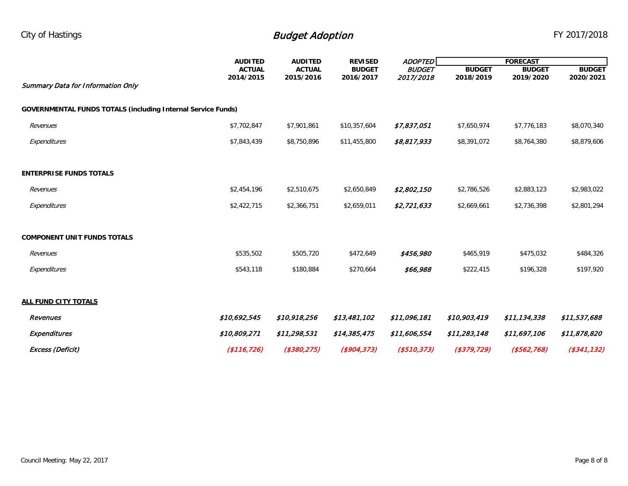|                                                                     | <b>AUDITED</b> | <b>AUDITED</b> | <b>REVISED</b> | <b>ADOPTED</b> |               | <b>FORECAST</b> |                   |  |  |
|---------------------------------------------------------------------|----------------|----------------|----------------|----------------|---------------|-----------------|-------------------|--|--|
|                                                                     | <b>ACTUAL</b>  | <b>ACTUAL</b>  | <b>BUDGET</b>  | <b>BUDGET</b>  | <b>BUDGET</b> | <b>BUDGET</b>   | <b>BUDGET</b>     |  |  |
| <b>Summary Data for Information Only</b>                            | 2014/2015      | 2015/2016      | 2016/2017      | 2017/2018      | 2018/2019     | 2019/2020       | 2020/2021         |  |  |
|                                                                     |                |                |                |                |               |                 |                   |  |  |
| <b>GOVERNMENTAL FUNDS TOTALS (including Internal Service Funds)</b> |                |                |                |                |               |                 |                   |  |  |
| Revenues                                                            | \$7,702,847    | \$7,901,861    | \$10,357,604   | \$7,837,051    | \$7,650,974   | \$7,776,183     | \$8,070,340       |  |  |
| Expenditures                                                        | \$7,843,439    | \$8,750,896    | \$11,455,800   | \$8,817,933    | \$8,391,072   | \$8,764,380     | \$8,879,606       |  |  |
|                                                                     |                |                |                |                |               |                 |                   |  |  |
| <b>ENTERPRISE FUNDS TOTALS</b>                                      |                |                |                |                |               |                 |                   |  |  |
| Revenues                                                            | \$2,454,196    | \$2,510,675    | \$2,650,849    | \$2,802,150    | \$2,786,526   | \$2,883,123     | \$2,983,022       |  |  |
| Expenditures                                                        | \$2,422,715    | \$2,366,751    | \$2,659,011    | \$2,721,633    | \$2,669,661   | \$2,736,398     | \$2,801,294       |  |  |
|                                                                     |                |                |                |                |               |                 |                   |  |  |
| <b>COMPONENT UNIT FUNDS TOTALS</b>                                  |                |                |                |                |               |                 |                   |  |  |
| Revenues                                                            | \$535,502      | \$505,720      | \$472,649      | \$456,980      | \$465,919     | \$475,032       | \$484,326         |  |  |
| Expenditures                                                        | \$543,118      | \$180,884      | \$270,664      | \$66,988       | \$222,415     | \$196,328       | \$197,920         |  |  |
|                                                                     |                |                |                |                |               |                 |                   |  |  |
| <b>ALL FUND CITY TOTALS</b>                                         |                |                |                |                |               |                 |                   |  |  |
| Revenues                                                            | \$10,692,545   | \$10,918,256   | \$13,481,102   | \$11,096,181   | \$10,903,419  | \$11,134,338    | \$11,537,688      |  |  |
| <b>Expenditures</b>                                                 | \$10,809,271   | \$11,298,531   | \$14,385,475   | \$11,606,554   | \$11,283,148  | \$11,697,106    | \$11,878,820      |  |  |
| Excess (Deficit)                                                    | ( \$116, 726)  | ( \$380, 275)  | ( \$904, 373)  | ( \$510, 373)  | ( \$379, 729) | ( \$562, 768)   | $($ \$341,132 $)$ |  |  |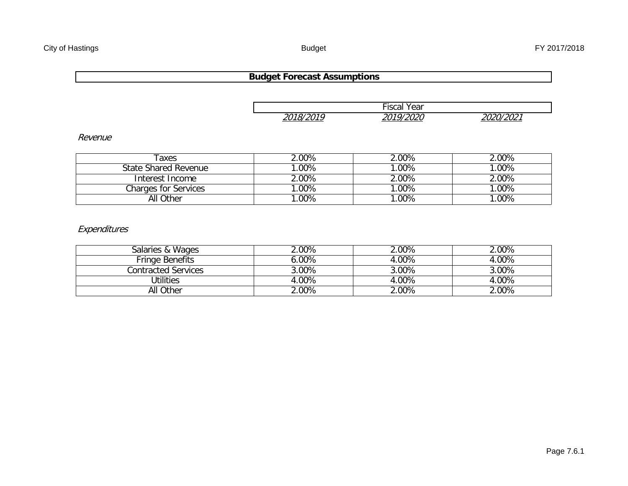#### **Budget Forecast Assumptions**

|           | Fiscal<br>Year |           |
|-----------|----------------|-----------|
|           |                |           |
| 2018/2010 | 2010/2020      | 2020/2021 |
|           |                |           |

Revenue

| Taxes                       | 2.00%           | 2.00%    | 2.00%  |
|-----------------------------|-----------------|----------|--------|
| State Shared Revenue        | $^{\circ}.00\%$ | $.00\%$  | $00\%$ |
| Interest Income             | 2.00%           | 2.00%    | 2.00%  |
| <b>Charges for Services</b> | $^{\circ}.00\%$ | $0.00\%$ | $00\%$ |
| All Other                   | $00\%$          | $.00\%$  | $00\%$ |

#### Expenditures

| Salaries & Wages       | $2.00\%$ | $2.00\%$ | 2.00% |
|------------------------|----------|----------|-------|
| <b>Fringe Benefits</b> | 6.00%    | 4.00%    | 4.00% |
| Contracted Services    | 3.00%    | $3.00\%$ | 3.00% |
| Utilities              | 4.00%    | 4.00%    | 4.00% |
| All Other              | $2.00\%$ | $2.00\%$ | 2.00% |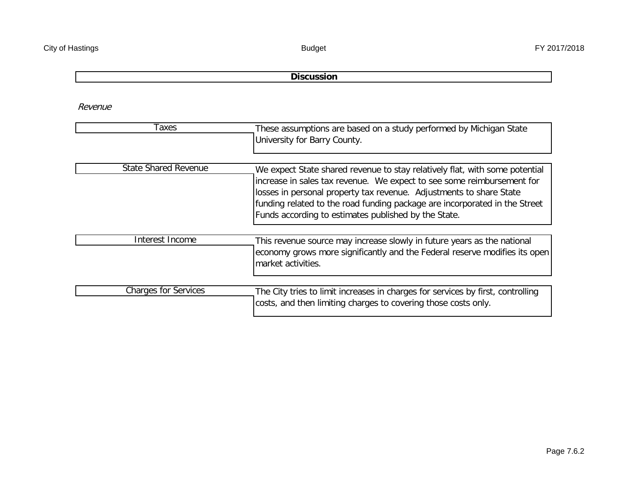#### **Discussion**

Revenue

| Taxes                       | These assumptions are based on a study performed by Michigan State<br>University for Barry County.                                                                                                                                                                                                                                                                 |
|-----------------------------|--------------------------------------------------------------------------------------------------------------------------------------------------------------------------------------------------------------------------------------------------------------------------------------------------------------------------------------------------------------------|
| <b>State Shared Revenue</b> | We expect State shared revenue to stay relatively flat, with some potential<br>increase in sales tax revenue. We expect to see some reimbursement for<br>losses in personal property tax revenue. Adjustments to share State<br>funding related to the road funding package are incorporated in the Street<br>Funds according to estimates published by the State. |
| Interest Income             | This revenue source may increase slowly in future years as the national<br>economy grows more significantly and the Federal reserve modifies its open<br>market activities.                                                                                                                                                                                        |
| <b>Charges for Services</b> | The City tries to limit increases in charges for services by first, controlling<br>costs, and then limiting charges to covering those costs only.                                                                                                                                                                                                                  |